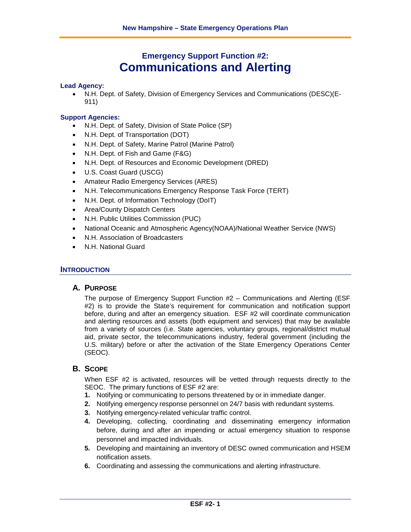# **Emergency Support Function #2: Communications and Alerting**

#### **Lead Agency:**

• N.H. Dept. of Safety, Division of Emergency Services and Communications (DESC)(E-911)

#### **Support Agencies:**

- N.H. Dept. of Safety, Division of State Police (SP)
- N.H. Dept. of Transportation (DOT)
- N.H. Dept. of Safety, Marine Patrol (Marine Patrol)
- N.H. Dept. of Fish and Game (F&G)
- N.H. Dept. of Resources and Economic Development (DRED)
- U.S. Coast Guard (USCG)
- Amateur Radio Emergency Services (ARES)
- N.H. Telecommunications Emergency Response Task Force (TERT)
- N.H. Dept. of Information Technology (DoIT)
- Area/County Dispatch Centers
- N.H. Public Utilities Commission (PUC)
- National Oceanic and Atmospheric Agency(NOAA)/National Weather Service (NWS)
- N.H. Association of Broadcasters
- N.H. National Guard

#### **INTRODUCTION**

# **A. PURPOSE**

The purpose of Emergency Support Function #2 – Communications and Alerting (ESF #2) is to provide the State's requirement for communication and notification support before, during and after an emergency situation. ESF #2 will coordinate communication and alerting resources and assets (both equipment and services) that may be available from a variety of sources (i.e. State agencies, voluntary groups, regional/district mutual aid, private sector, the telecommunications industry, federal government (including the U.S. military) before or after the activation of the State Emergency Operations Center (SEOC).

# **B. SCOPE**

When ESF #2 is activated, resources will be vetted through requests directly to the SEOC. The primary functions of ESF #2 are:

- **1.** Notifying or communicating to persons threatened by or in immediate danger.
- **2.** Notifying emergency response personnel on 24/7 basis with redundant systems.
- **3.** Notifying emergency-related vehicular traffic control.
- **4.** Developing, collecting, coordinating and disseminating emergency information before, during and after an impending or actual emergency situation to response personnel and impacted individuals.
- **5.** Developing and maintaining an inventory of DESC owned communication and HSEM notification assets.
- **6.** Coordinating and assessing the communications and alerting infrastructure.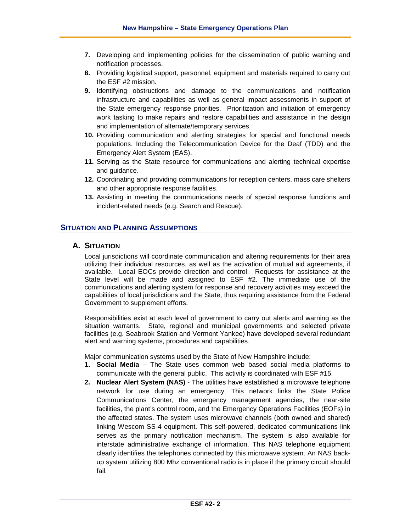- **7.** Developing and implementing policies for the dissemination of public warning and notification processes.
- **8.** Providing logistical support, personnel, equipment and materials required to carry out the ESF #2 mission.
- **9.** Identifying obstructions and damage to the communications and notification infrastructure and capabilities as well as general impact assessments in support of the State emergency response priorities. Prioritization and initiation of emergency work tasking to make repairs and restore capabilities and assistance in the design and implementation of alternate/temporary services.
- **10.** Providing communication and alerting strategies for special and functional needs populations. Including the Telecommunication Device for the Deaf (TDD) and the Emergency Alert System (EAS).
- **11.** Serving as the State resource for communications and alerting technical expertise and guidance.
- **12.** Coordinating and providing communications for reception centers, mass care shelters and other appropriate response facilities.
- **13.** Assisting in meeting the communications needs of special response functions and incident-related needs (e.g. Search and Rescue).

# **SITUATION AND PLANNING ASSUMPTIONS**

# **A. SITUATION**

Local jurisdictions will coordinate communication and altering requirements for their area utilizing their individual resources, as well as the activation of mutual aid agreements, if available. Local EOCs provide direction and control. Requests for assistance at the State level will be made and assigned to ESF #2. The immediate use of the communications and alerting system for response and recovery activities may exceed the capabilities of local jurisdictions and the State, thus requiring assistance from the Federal Government to supplement efforts.

Responsibilities exist at each level of government to carry out alerts and warning as the situation warrants. State, regional and municipal governments and selected private facilities (e.g. Seabrook Station and Vermont Yankee) have developed several redundant alert and warning systems, procedures and capabilities.

Major communication systems used by the State of New Hampshire include:

- **1. Social Media** The State uses common web based social media platforms to communicate with the general public. This activity is coordinated with ESF #15.
- **2. Nuclear Alert System (NAS)** The utilities have established a microwave telephone network for use during an emergency. This network links the State Police Communications Center, the emergency management agencies, the near-site facilities, the plant's control room, and the Emergency Operations Facilities (EOFs) in the affected states. The system uses microwave channels (both owned and shared) linking Wescom SS-4 equipment. This self-powered, dedicated communications link serves as the primary notification mechanism. The system is also available for interstate administrative exchange of information. This NAS telephone equipment clearly identifies the telephones connected by this microwave system. An NAS backup system utilizing 800 Mhz conventional radio is in place if the primary circuit should fail.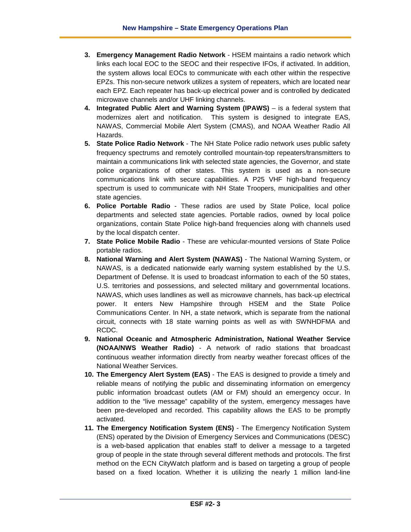- **3. Emergency Management Radio Network** HSEM maintains a radio network which links each local EOC to the SEOC and their respective IFOs, if activated. In addition, the system allows local EOCs to communicate with each other within the respective EPZs. This non-secure network utilizes a system of repeaters, which are located near each EPZ. Each repeater has back-up electrical power and is controlled by dedicated microwave channels and/or UHF linking channels.
- **4. Integrated Public Alert and Warning System (IPAWS)** is a federal system that modernizes alert and notification. This system is designed to integrate EAS, NAWAS, Commercial Mobile Alert System (CMAS), and NOAA Weather Radio All Hazards.
- **5. State Police Radio Network** The NH State Police radio network uses public safety frequency spectrums and remotely controlled mountain-top repeaters/transmitters to maintain a communications link with selected state agencies, the Governor, and state police organizations of other states. This system is used as a non-secure communications link with secure capabilities. A P25 VHF high-band frequency spectrum is used to communicate with NH State Troopers, municipalities and other state agencies.
- **6. Police Portable Radio** These radios are used by State Police, local police departments and selected state agencies. Portable radios, owned by local police organizations, contain State Police high-band frequencies along with channels used by the local dispatch center.
- **7. State Police Mobile Radio** These are vehicular-mounted versions of State Police portable radios.
- **8. National Warning and Alert System (NAWAS)** The National Warning System, or NAWAS, is a dedicated nationwide early warning system established by the U.S. Department of Defense. It is used to broadcast information to each of the 50 states, U.S. territories and possessions, and selected military and governmental locations. NAWAS, which uses landlines as well as microwave channels, has back-up electrical power. It enters New Hampshire through HSEM and the State Police Communications Center. In NH, a state network, which is separate from the national circuit, connects with 18 state warning points as well as with SWNHDFMA and RCDC.
- **9. National Oceanic and Atmospheric Administration, National Weather Service (NOAA/NWS Weather Radio)** - A network of radio stations that broadcast continuous weather information directly from nearby weather forecast offices of the National Weather Services.
- **10. The Emergency Alert System (EAS)**  The EAS is designed to provide a timely and reliable means of notifying the public and disseminating information on emergency public information broadcast outlets (AM or FM) should an emergency occur. In addition to the "live message" capability of the system, emergency messages have been pre-developed and recorded. This capability allows the EAS to be promptly activated.
- **11. The Emergency Notification System (ENS)** The Emergency Notification System (ENS) operated by the Division of Emergency Services and Communications (DESC) is a web-based application that enables staff to deliver a message to a targeted group of people in the state through several different methods and protocols. The first method on the ECN CityWatch platform and is based on targeting a group of people based on a fixed location. Whether it is utilizing the nearly 1 million land-line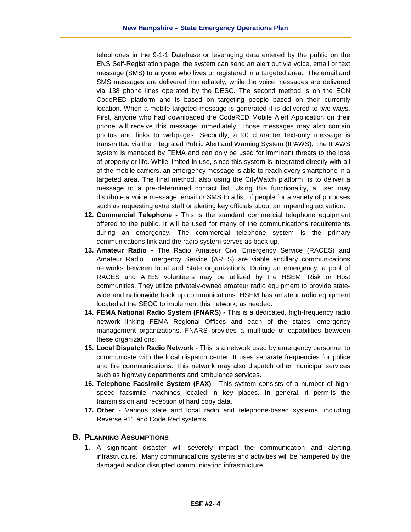telephones in the 9-1-1 Database or leveraging data entered by the public on the ENS Self-Registration page, the system can send an alert out via voice, email or text message (SMS) to anyone who lives or registered in a targeted area. The email and SMS messages are delivered immediately, while the voice messages are delivered via 138 phone lines operated by the DESC. The second method is on the ECN CodeRED platform and is based on targeting people based on their currently location. When a mobile-targeted message is generated it is delivered to two ways. First, anyone who had downloaded the CodeRED Mobile Alert Application on their phone will receive this message immediately. Those messages may also contain photos and links to webpages. Secondly, a 90 character text-only message is transmitted via the Integrated Public Alert and Warning System (IPAWS). The IPAWS system is managed by FEMA and can only be used for imminent threats to the loss of property or life. While limited in use, since this system is integrated directly with all of the mobile carriers, an emergency message is able to reach every smartphone in a targeted area. The final method, also using the CityWatch platform, is to deliver a message to a pre-determined contact list. Using this functionality, a user may distribute a voice message, email or SMS to a list of people for a variety of purposes such as requesting extra staff or alerting key officials about an impending activation.

- **12. Commercial Telephone -** This is the standard commercial telephone equipment offered to the public. It will be used for many of the communications requirements during an emergency. The commercial telephone system is the primary communications link and the radio system serves as back-up.
- **13. Amateur Radio -** The Radio Amateur Civil Emergency Service (RACES) and Amateur Radio Emergency Service (ARES) are viable ancillary communications networks between local and State organizations. During an emergency, a pool of RACES and ARES volunteers may be utilized by the HSEM, Risk or Host communities. They utilize privately-owned amateur radio equipment to provide statewide and nationwide back up communications. HSEM has amateur radio equipment located at the SEOC to implement this network, as needed.
- **14. FEMA National Radio System (FNARS) -** This is a dedicated, high-frequency radio network linking FEMA Regional Offices and each of the states' emergency management organizations. FNARS provides a multitude of capabilities between these organizations.
- **15. Local Dispatch Radio Network** This is a network used by emergency personnel to communicate with the local dispatch center. It uses separate frequencies for police and fire communications. This network may also dispatch other municipal services such as highway departments and ambulance services.
- **16. Telephone Facsimile System (FAX)** This system consists of a number of highspeed facsimile machines located in key places. In general, it permits the transmission and reception of hard copy data.
- **17. Other** Various state and local radio and telephone-based systems, including Reverse 911 and Code Red systems.

# **B. PLANNING ASSUMPTIONS**

**1.** A significant disaster will severely impact the communication and alerting infrastructure. Many communications systems and activities will be hampered by the damaged and/or disrupted communication infrastructure.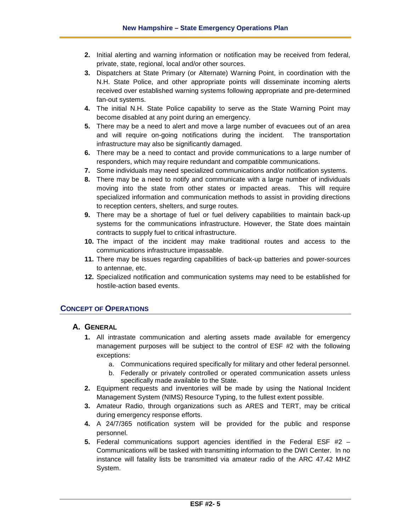- **2.** Initial alerting and warning information or notification may be received from federal, private, state, regional, local and/or other sources.
- **3.** Dispatchers at State Primary (or Alternate) Warning Point, in coordination with the N.H. State Police, and other appropriate points will disseminate incoming alerts received over established warning systems following appropriate and pre-determined fan-out systems.
- **4.** The initial N.H. State Police capability to serve as the State Warning Point may become disabled at any point during an emergency.
- **5.** There may be a need to alert and move a large number of evacuees out of an area and will require on-going notifications during the incident. The transportation infrastructure may also be significantly damaged.
- **6.** There may be a need to contact and provide communications to a large number of responders, which may require redundant and compatible communications.
- **7.** Some individuals may need specialized communications and/or notification systems.
- **8.** There may be a need to notify and communicate with a large number of individuals moving into the state from other states or impacted areas. This will require specialized information and communication methods to assist in providing directions to reception centers, shelters, and surge routes.
- **9.** There may be a shortage of fuel or fuel delivery capabilities to maintain back-up systems for the communications infrastructure. However, the State does maintain contracts to supply fuel to critical infrastructure.
- **10.** The impact of the incident may make traditional routes and access to the communications infrastructure impassable.
- **11.** There may be issues regarding capabilities of back-up batteries and power-sources to antennae, etc.
- **12.** Specialized notification and communication systems may need to be established for hostile-action based events.

# **CONCEPT OF OPERATIONS**

# **A. GENERAL**

- **1.** All intrastate communication and alerting assets made available for emergency management purposes will be subject to the control of ESF #2 with the following exceptions:
	- a. Communications required specifically for military and other federal personnel.
	- b. Federally or privately controlled or operated communication assets unless specifically made available to the State.
- **2.** Equipment requests and inventories will be made by using the National Incident Management System (NIMS) Resource Typing, to the fullest extent possible.
- **3.** Amateur Radio, through organizations such as ARES and TERT, may be critical during emergency response efforts.
- **4.** A 24/7/365 notification system will be provided for the public and response personnel.
- **5.** Federal communications support agencies identified in the Federal ESF #2 Communications will be tasked with transmitting information to the DWI Center. In no instance will fatality lists be transmitted via amateur radio of the ARC 47.42 MHZ System.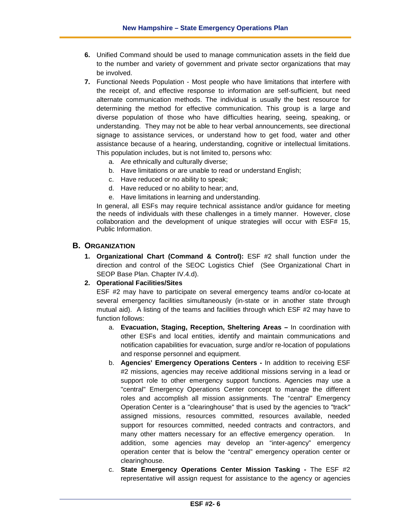- **6.** Unified Command should be used to manage communication assets in the field due to the number and variety of government and private sector organizations that may be involved.
- **7.** Functional Needs Population Most people who have limitations that interfere with the receipt of, and effective response to information are self-sufficient, but need alternate communication methods. The individual is usually the best resource for determining the method for effective communication. This group is a large and diverse population of those who have difficulties hearing, seeing, speaking, or understanding. They may not be able to hear verbal announcements, see directional signage to assistance services, or understand how to get food, water and other assistance because of a hearing, understanding, cognitive or intellectual limitations. This population includes, but is not limited to, persons who:
	- a. Are ethnically and culturally diverse;
	- b. Have limitations or are unable to read or understand English;
	- c. Have reduced or no ability to speak;
	- d. Have reduced or no ability to hear; and,
	- e. Have limitations in learning and understanding.

In general, all ESFs may require technical assistance and/or guidance for meeting the needs of individuals with these challenges in a timely manner. However, close collaboration and the development of unique strategies will occur with ESF# 15, Public Information.

#### **B. ORGANIZATION**

**1. Organizational Chart (Command & Control):** ESF #2 shall function under the direction and control of the SEOC Logistics Chief (See Organizational Chart in SEOP Base Plan. Chapter IV.4.d).

# **2. Operational Facilities/Sites**

ESF #2 may have to participate on several emergency teams and/or co-locate at several emergency facilities simultaneously (in-state or in another state through mutual aid). A listing of the teams and facilities through which ESF #2 may have to function follows:

- a. **Evacuation, Staging, Reception, Sheltering Areas –** In coordination with other ESFs and local entities, identify and maintain communications and notification capabilities for evacuation, surge and/or re-location of populations and response personnel and equipment.
- b. **Agencies' Emergency Operations Centers -** In addition to receiving ESF #2 missions, agencies may receive additional missions serving in a lead or support role to other emergency support functions. Agencies may use a "central" Emergency Operations Center concept to manage the different roles and accomplish all mission assignments. The "central" Emergency Operation Center is a "clearinghouse" that is used by the agencies to "track" assigned missions, resources committed, resources available, needed support for resources committed, needed contracts and contractors, and many other matters necessary for an effective emergency operation. In addition, some agencies may develop an "inter-agency" emergency operation center that is below the "central" emergency operation center or clearinghouse.
- c. **State Emergency Operations Center Mission Tasking -** The ESF #2 representative will assign request for assistance to the agency or agencies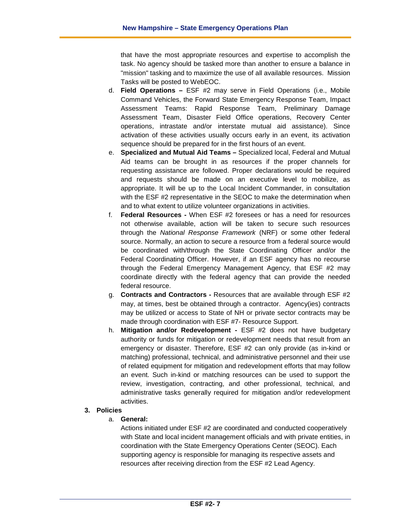that have the most appropriate resources and expertise to accomplish the task. No agency should be tasked more than another to ensure a balance in "mission" tasking and to maximize the use of all available resources. Mission Tasks will be posted to WebEOC.

- d. **Field Operations –** ESF #2 may serve in Field Operations (i.e., Mobile Command Vehicles, the Forward State Emergency Response Team, Impact Assessment Teams: Rapid Response Team, Preliminary Damage Assessment Team, Disaster Field Office operations, Recovery Center operations, intrastate and/or interstate mutual aid assistance). Since activation of these activities usually occurs early in an event, its activation sequence should be prepared for in the first hours of an event.
- e. **Specialized and Mutual Aid Teams –** Specialized local, Federal and Mutual Aid teams can be brought in as resources if the proper channels for requesting assistance are followed. Proper declarations would be required and requests should be made on an executive level to mobilize, as appropriate. It will be up to the Local Incident Commander, in consultation with the ESF #2 representative in the SEOC to make the determination when and to what extent to utilize volunteer organizations in activities.
- f. **Federal Resources -** When ESF #2 foresees or has a need for resources not otherwise available, action will be taken to secure such resources through the *National Response Framework* (NRF) or some other federal source. Normally, an action to secure a resource from a federal source would be coordinated with/through the State Coordinating Officer and/or the Federal Coordinating Officer. However, if an ESF agency has no recourse through the Federal Emergency Management Agency, that ESF #2 may coordinate directly with the federal agency that can provide the needed federal resource.
- g. **Contracts and Contractors -** Resources that are available through ESF #2 may, at times, best be obtained through a contractor. Agency(ies) contracts may be utilized or access to State of NH or private sector contracts may be made through coordination with ESF #7- Resource Support.
- h. **Mitigation and/or Redevelopment -** ESF #2 does not have budgetary authority or funds for mitigation or redevelopment needs that result from an emergency or disaster. Therefore, ESF #2 can only provide (as in-kind or matching) professional, technical, and administrative personnel and their use of related equipment for mitigation and redevelopment efforts that may follow an event. Such in-kind or matching resources can be used to support the review, investigation, contracting, and other professional, technical, and administrative tasks generally required for mitigation and/or redevelopment activities.

# **3. Policies**

a. **General:**

Actions initiated under ESF #2 are coordinated and conducted cooperatively with State and local incident management officials and with private entities, in coordination with the State Emergency Operations Center (SEOC). Each supporting agency is responsible for managing its respective assets and resources after receiving direction from the ESF #2 Lead Agency.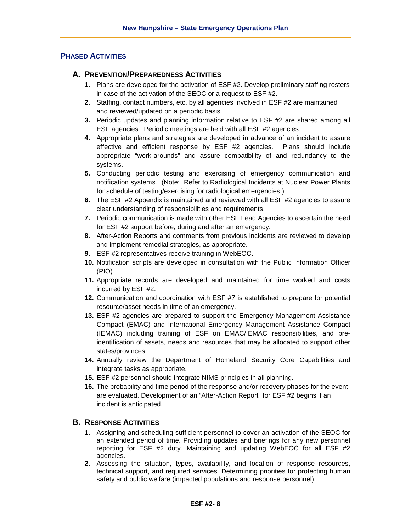# **PHASED ACTIVITIES**

# **A. PREVENTION/PREPAREDNESS ACTIVITIES**

- **1.** Plans are developed for the activation of ESF #2. Develop preliminary staffing rosters in case of the activation of the SEOC or a request to ESF #2.
- **2.** Staffing, contact numbers, etc. by all agencies involved in ESF #2 are maintained and reviewed/updated on a periodic basis.
- **3.** Periodic updates and planning information relative to ESF #2 are shared among all ESF agencies. Periodic meetings are held with all ESF #2 agencies.
- **4.** Appropriate plans and strategies are developed in advance of an incident to assure effective and efficient response by ESF #2 agencies. Plans should include appropriate "work-arounds" and assure compatibility of and redundancy to the systems.
- **5.** Conducting periodic testing and exercising of emergency communication and notification systems. (Note: Refer to Radiological Incidents at Nuclear Power Plants for schedule of testing/exercising for radiological emergencies.)
- **6.** The ESF #2 Appendix is maintained and reviewed with all ESF #2 agencies to assure clear understanding of responsibilities and requirements.
- **7.** Periodic communication is made with other ESF Lead Agencies to ascertain the need for ESF #2 support before, during and after an emergency.
- **8.** After-Action Reports and comments from previous incidents are reviewed to develop and implement remedial strategies, as appropriate.
- **9.** ESF #2 representatives receive training in WebEOC.
- **10.** Notification scripts are developed in consultation with the Public Information Officer (PIO).
- **11.** Appropriate records are developed and maintained for time worked and costs incurred by ESF #2.
- **12.** Communication and coordination with ESF #7 is established to prepare for potential resource/asset needs in time of an emergency.
- **13.** ESF #2 agencies are prepared to support the Emergency Management Assistance Compact (EMAC) and International Emergency Management Assistance Compact (IEMAC) including training of ESF on EMAC/IEMAC responsibilities, and preidentification of assets, needs and resources that may be allocated to support other states/provinces.
- **14.** Annually review the Department of Homeland Security Core Capabilities and integrate tasks as appropriate.
- **15.** ESF #2 personnel should integrate NIMS principles in all planning.
- **16.** The probability and time period of the response and/or recovery phases for the event are evaluated. Development of an "After-Action Report" for ESF #2 begins if an incident is anticipated.

# **B. RESPONSE ACTIVITIES**

- **1.** Assigning and scheduling sufficient personnel to cover an activation of the SEOC for an extended period of time. Providing updates and briefings for any new personnel reporting for ESF #2 duty. Maintaining and updating WebEOC for all ESF #2 agencies.
- **2.** Assessing the situation, types, availability, and location of response resources, technical support, and required services. Determining priorities for protecting human safety and public welfare (impacted populations and response personnel).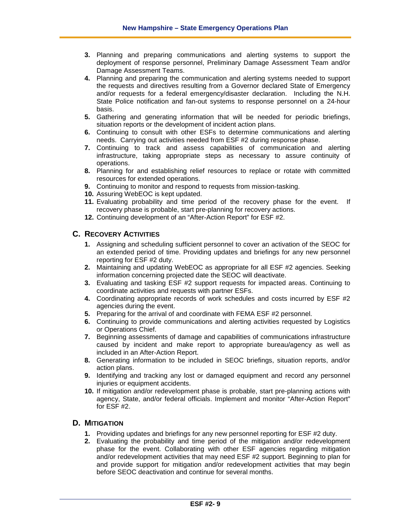- **3.** Planning and preparing communications and alerting systems to support the deployment of response personnel, Preliminary Damage Assessment Team and/or Damage Assessment Teams.
- **4.** Planning and preparing the communication and alerting systems needed to support the requests and directives resulting from a Governor declared State of Emergency and/or requests for a federal emergency/disaster declaration. Including the N.H. State Police notification and fan-out systems to response personnel on a 24-hour basis.
- **5.** Gathering and generating information that will be needed for periodic briefings, situation reports or the development of incident action plans.
- **6.** Continuing to consult with other ESFs to determine communications and alerting needs. Carrying out activities needed from ESF #2 during response phase.
- **7.** Continuing to track and assess capabilities of communication and alerting infrastructure, taking appropriate steps as necessary to assure continuity of operations.
- **8.** Planning for and establishing relief resources to replace or rotate with committed resources for extended operations.
- **9.** Continuing to monitor and respond to requests from mission-tasking.
- **10.** Assuring WebEOC is kept updated.
- **11.** Evaluating probability and time period of the recovery phase for the event. If recovery phase is probable, start pre-planning for recovery actions.
- **12.** Continuing development of an "After-Action Report" for ESF #2.

# **C. RECOVERY ACTIVITIES**

- **1.** Assigning and scheduling sufficient personnel to cover an activation of the SEOC for an extended period of time. Providing updates and briefings for any new personnel reporting for ESF #2 duty.
- **2.** Maintaining and updating WebEOC as appropriate for all ESF #2 agencies. Seeking information concerning projected date the SEOC will deactivate.
- **3.** Evaluating and tasking ESF #2 support requests for impacted areas. Continuing to coordinate activities and requests with partner ESFs.
- **4.** Coordinating appropriate records of work schedules and costs incurred by ESF #2 agencies during the event.
- **5.** Preparing for the arrival of and coordinate with FEMA ESF #2 personnel.
- **6.** Continuing to provide communications and alerting activities requested by Logistics or Operations Chief.
- **7.** Beginning assessments of damage and capabilities of communications infrastructure caused by incident and make report to appropriate bureau/agency as well as included in an After-Action Report.
- **8.** Generating information to be included in SEOC briefings, situation reports, and/or action plans.
- **9.** Identifying and tracking any lost or damaged equipment and record any personnel injuries or equipment accidents.
- **10.** If mitigation and/or redevelopment phase is probable, start pre-planning actions with agency, State, and/or federal officials. Implement and monitor "After-Action Report" for ESF #2.

# **D. MITIGATION**

- **1.** Providing updates and briefings for any new personnel reporting for ESF #2 duty.
- **2.** Evaluating the probability and time period of the mitigation and/or redevelopment phase for the event. Collaborating with other ESF agencies regarding mitigation and/or redevelopment activities that may need ESF #2 support. Beginning to plan for and provide support for mitigation and/or redevelopment activities that may begin before SEOC deactivation and continue for several months.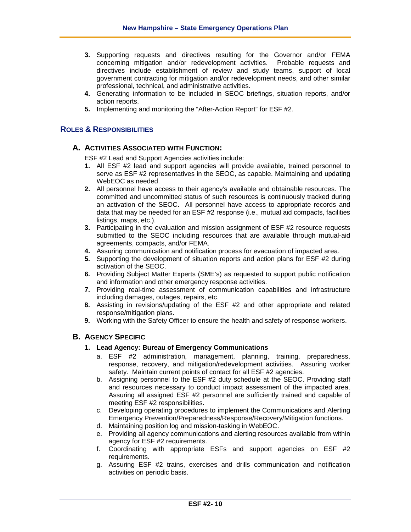- **3.** Supporting requests and directives resulting for the Governor and/or FEMA concerning mitigation and/or redevelopment activities. Probable requests and directives include establishment of review and study teams, support of local government contracting for mitigation and/or redevelopment needs, and other similar professional, technical, and administrative activities.
- **4.** Generating information to be included in SEOC briefings, situation reports, and/or action reports.
- **5.** Implementing and monitoring the "After-Action Report" for ESF #2.

# **ROLES & RESPONSIBILITIES**

# **A. ACTIVITIES ASSOCIATED WITH FUNCTION:**

ESF #2 Lead and Support Agencies activities include:

- **1.** All ESF #2 lead and support agencies will provide available, trained personnel to serve as ESF #2 representatives in the SEOC, as capable. Maintaining and updating WebEOC as needed.
- **2.** All personnel have access to their agency's available and obtainable resources. The committed and uncommitted status of such resources is continuously tracked during an activation of the SEOC. All personnel have access to appropriate records and data that may be needed for an ESF #2 response (i.e., mutual aid compacts, facilities listings, maps, etc.).
- **3.** Participating in the evaluation and mission assignment of ESF #2 resource requests submitted to the SEOC including resources that are available through mutual-aid agreements, compacts, and/or FEMA.
- **4.** Assuring communication and notification process for evacuation of impacted area.
- **5.** Supporting the development of situation reports and action plans for ESF #2 during activation of the SEOC.
- **6.** Providing Subject Matter Experts (SME's) as requested to support public notification and information and other emergency response activities.
- **7.** Providing real-time assessment of communication capabilities and infrastructure including damages, outages, repairs, etc.
- **8.** Assisting in revisions/updating of the ESF #2 and other appropriate and related response/mitigation plans.
- **9.** Working with the Safety Officer to ensure the health and safety of response workers.

# **B. AGENCY SPECIFIC**

#### **1. Lead Agency: Bureau of Emergency Communications**

- a. ESF #2 administration, management, planning, training, preparedness, response, recovery, and mitigation/redevelopment activities. Assuring worker safety. Maintain current points of contact for all ESF #2 agencies.
- b. Assigning personnel to the ESF #2 duty schedule at the SEOC. Providing staff and resources necessary to conduct impact assessment of the impacted area. Assuring all assigned ESF #2 personnel are sufficiently trained and capable of meeting ESF #2 responsibilities.
- c. Developing operating procedures to implement the Communications and Alerting Emergency Prevention/Preparedness/Response/Recovery/Mitigation functions.
- d. Maintaining position log and mission-tasking in WebEOC.
- e. Providing all agency communications and alerting resources available from within agency for ESF #2 requirements.
- f. Coordinating with appropriate ESFs and support agencies on ESF #2 requirements.
- g. Assuring ESF #2 trains, exercises and drills communication and notification activities on periodic basis.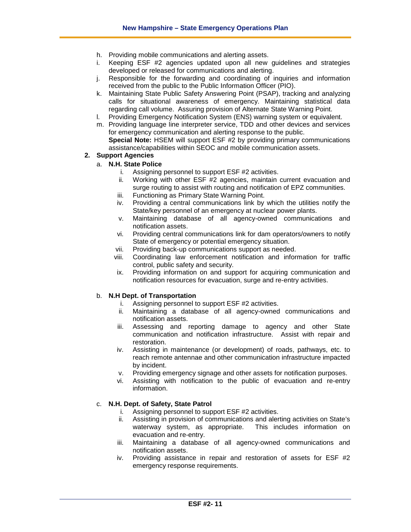- h. Providing mobile communications and alerting assets.
- i. Keeping ESF #2 agencies updated upon all new guidelines and strategies developed or released for communications and alerting.
- j. Responsible for the forwarding and coordinating of inquiries and information received from the public to the Public Information Officer (PIO).
- k. Maintaining State Public Safety Answering Point (PSAP), tracking and analyzing calls for situational awareness of emergency. Maintaining statistical data regarding call volume. Assuring provision of Alternate State Warning Point.
- l. Providing Emergency Notification System (ENS) warning system or equivalent.
- m. Providing language line interpreter service, TDD and other devices and services for emergency communication and alerting response to the public. **Special Note:** HSEM will support ESF #2 by providing primary communications assistance/capabilities within SEOC and mobile communication assets.

#### **2. Support Agencies**

- a. **N.H. State Police**
	- i. Assigning personnel to support ESF #2 activities.
	- ii. Working with other ESF #2 agencies, maintain current evacuation and surge routing to assist with routing and notification of EPZ communities.
	- iii. Functioning as Primary State Warning Point.
	- iv. Providing a central communications link by which the utilities notify the State/key personnel of an emergency at nuclear power plants.
	- v. Maintaining database of all agency-owned communications and notification assets.
	- vi. Providing central communications link for dam operators/owners to notify State of emergency or potential emergency situation.
	- vii. Providing back-up communications support as needed.
	- viii. Coordinating law enforcement notification and information for traffic control, public safety and security.
	- ix. Providing information on and support for acquiring communication and notification resources for evacuation, surge and re-entry activities.

#### b. **N.H Dept. of Transportation**

- i. Assigning personnel to support ESF #2 activities.
- Maintaining a database of all agency-owned communications and notification assets.
- iii. Assessing and reporting damage to agency and other State communication and notification infrastructure. Assist with repair and restoration.
- iv. Assisting in maintenance (or development) of roads, pathways, etc. to reach remote antennae and other communication infrastructure impacted by incident.
- v. Providing emergency signage and other assets for notification purposes.
- vi. Assisting with notification to the public of evacuation and re-entry information.

#### c. **N.H. Dept. of Safety, State Patrol**

- i. Assigning personnel to support ESF #2 activities.
- ii. Assisting in provision of communications and alerting activities on State's waterway system, as appropriate. This includes information on evacuation and re-entry.
- iii. Maintaining a database of all agency-owned communications and notification assets.
- iv. Providing assistance in repair and restoration of assets for ESF #2 emergency response requirements.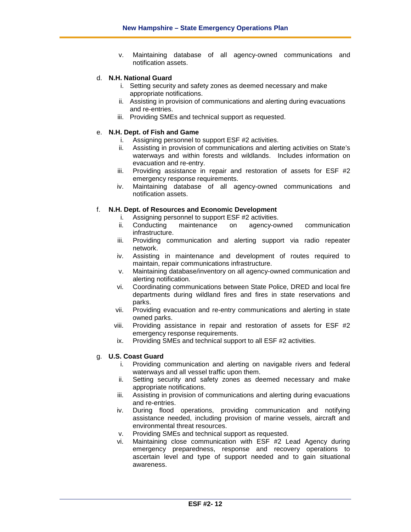v. Maintaining database of all agency-owned communications and notification assets.

# d. **N.H. National Guard**

- i. Setting security and safety zones as deemed necessary and make appropriate notifications.
- ii. Assisting in provision of communications and alerting during evacuations and re-entries.
- iii. Providing SMEs and technical support as requested.

#### e. **N.H. Dept. of Fish and Game**

- i. Assigning personnel to support ESF #2 activities.
- ii. Assisting in provision of communications and alerting activities on State's waterways and within forests and wildlands. Includes information on evacuation and re-entry.
- iii. Providing assistance in repair and restoration of assets for ESF #2 emergency response requirements.
- iv. Maintaining database of all agency-owned communications and notification assets.

#### f. **N.H. Dept. of Resources and Economic Development**

- 
- i. Assigning personnel to support ESF #2 activities.<br>ii. Conducting maintenance on agency-owned ii. Conducting maintenance on agency-owned communication infrastructure.
- iii. Providing communication and alerting support via radio repeater network.
- iv. Assisting in maintenance and development of routes required to maintain, repair communications infrastructure.
- v. Maintaining database/inventory on all agency-owned communication and alerting notification.
- vi. Coordinating communications between State Police, DRED and local fire departments during wildland fires and fires in state reservations and parks.
- vii. Providing evacuation and re-entry communications and alerting in state owned parks.
- viii. Providing assistance in repair and restoration of assets for ESF #2 emergency response requirements.
- ix. Providing SMEs and technical support to all ESF #2 activities.

#### g. **U.S. Coast Guard**

- i. Providing communication and alerting on navigable rivers and federal waterways and all vessel traffic upon them.
- ii. Setting security and safety zones as deemed necessary and make appropriate notifications.
- iii. Assisting in provision of communications and alerting during evacuations and re-entries.
- iv. During flood operations, providing communication and notifying assistance needed, including provision of marine vessels, aircraft and environmental threat resources.
- v. Providing SMEs and technical support as requested.
- vi. Maintaining close communication with ESF #2 Lead Agency during emergency preparedness, response and recovery operations to ascertain level and type of support needed and to gain situational awareness.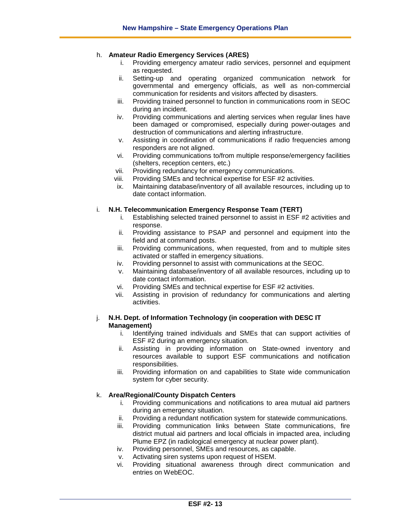#### h. **Amateur Radio Emergency Services (ARES)**

- i. Providing emergency amateur radio services, personnel and equipment as requested.
- ii. Setting-up and operating organized communication network for governmental and emergency officials, as well as non-commercial communication for residents and visitors affected by disasters.
- iii. Providing trained personnel to function in communications room in SEOC during an incident.
- iv. Providing communications and alerting services when regular lines have been damaged or compromised, especially during power-outages and destruction of communications and alerting infrastructure.
- v. Assisting in coordination of communications if radio frequencies among responders are not aligned.
- vi. Providing communications to/from multiple response/emergency facilities (shelters, reception centers, etc.)
- vii. Providing redundancy for emergency communications.
- viii. Providing SMEs and technical expertise for ESF #2 activities.
- ix. Maintaining database/inventory of all available resources, including up to date contact information.

#### i. **N.H. Telecommunication Emergency Response Team (TERT)**

- i. Establishing selected trained personnel to assist in ESF #2 activities and response.
- ii. Providing assistance to PSAP and personnel and equipment into the field and at command posts.
- iii. Providing communications, when requested, from and to multiple sites activated or staffed in emergency situations.
- iv. Providing personnel to assist with communications at the SEOC.
- v. Maintaining database/inventory of all available resources, including up to date contact information.
- vi. Providing SMEs and technical expertise for ESF #2 activities.
- vii. Assisting in provision of redundancy for communications and alerting activities.

#### j. **N.H. Dept. of Information Technology (in cooperation with DESC IT Management)**

- i. Identifying trained individuals and SMEs that can support activities of ESF #2 during an emergency situation.
- ii. Assisting in providing information on State-owned inventory and resources available to support ESF communications and notification responsibilities.
- iii. Providing information on and capabilities to State wide communication system for cyber security.

#### k. **Area/Regional/County Dispatch Centers**

- i. Providing communications and notifications to area mutual aid partners during an emergency situation.
- ii. Providing a redundant notification system for statewide communications.
- iii. Providing communication links between State communications, fire district mutual aid partners and local officials in impacted area, including Plume EPZ (in radiological emergency at nuclear power plant).
- iv. Providing personnel, SMEs and resources, as capable.
- v. Activating siren systems upon request of HSEM.
- vi. Providing situational awareness through direct communication and entries on WebEOC.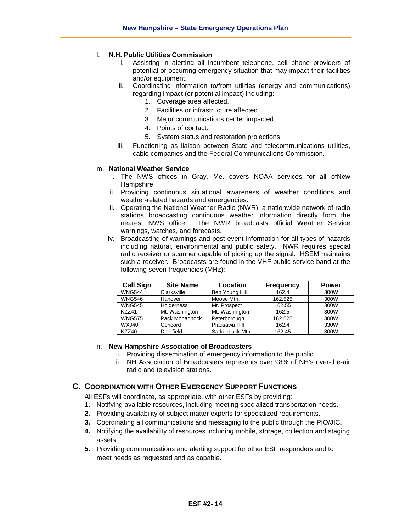#### l. **N.H. Public Utilities Commission**

- Assisting in alerting all incumbent telephone, cell phone providers of potential or occurring emergency situation that may impact their facilities and/or equipment.
- ii. Coordinating information to/from utilities (energy and communications) regarding impact (or potential impact) including:
	- 1. Coverage area affected.
	- 2. Facilities or infrastructure affected.
	- 3. Major communications center impacted.
	- 4. Points of contact.
	- 5. System status and restoration projections.
- iii. Functioning as liaison between State and telecommunications utilities, cable companies and the Federal Communications Commission.

#### m. **National Weather Service**

- i. The NWS offices in Gray, Me. covers NOAA services for all ofNew Hampshire.
- ii. Providing continuous situational awareness of weather conditions and weather-related hazards and emergencies.
- iii. Operating the National Weather Radio (NWR), a nationwide network of radio stations broadcasting continuous weather information directly from the nearest NWS office. The NWR broadcasts official Weather Service The NWR broadcasts official Weather Service warnings, watches, and forecasts.
- iv. Broadcasting of warnings and post-event information for all types of hazards including natural, environmental and public safety. NWR requires special radio receiver or scanner capable of picking up the signal. HSEM maintains such a receiver. Broadcasts are found in the VHF public service band at the following seven frequencies (MHz):

| <b>Call Sign</b> | <b>Site Name</b> | Location        | <b>Frequency</b> | <b>Power</b> |
|------------------|------------------|-----------------|------------------|--------------|
| <b>WNG544</b>    | Clarksville      | Ben Young Hill  | 162.4            | 300W         |
| <b>WNG546</b>    | Hanover          | Moose Mtn.      | 162.525          | 300W         |
| <b>WNG545</b>    | Holderness       | Mt. Prospect    | 162.55           | 300W         |
| K7741            | Mt. Washington   | Mt. Washington  | 162.5            | 300W         |
| <b>WNG575</b>    | Pack Monadnock   | Peterborough    | 162.525          | 300W         |
| WXJ40            | Concord          | Plausawa Hill   | 162.4            | 330W         |
| <b>KZZ40</b>     | Deerfield        | Saddleback Mtn. | 162.45           | 300W         |

#### n. **New Hampshire Association of Broadcasters**

- i. Providing dissemination of emergency information to the public.
- ii. NH Association of Broadcasters represents over 98% of NH's over-the-air radio and television stations.

# **C. COORDINATION WITH OTHER EMERGENCY SUPPORT FUNCTIONS**

- All ESFs will coordinate, as appropriate, with other ESFs by providing:
- **1.** Notifying available resources, including meeting specialized transportation needs.
- **2.** Providing availability of subject matter experts for specialized requirements.
- **3.** Coordinating all communications and messaging to the public through the PIO/JIC.
- **4.** Notifying the availability of resources including mobile, storage, collection and staging assets.
- **5.** Providing communications and alerting support for other ESF responders and to meet needs as requested and as capable.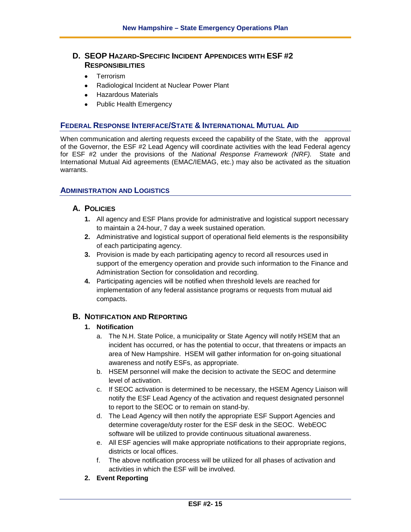# **D. SEOP HAZARD-SPECIFIC INCIDENT APPENDICES WITH ESF #2 RESPONSIBILITIES**

- Terrorism
- Radiological Incident at Nuclear Power Plant
- Hazardous Materials
- Public Health Emergency

# **FEDERAL RESPONSE INTERFACE/STATE & INTERNATIONAL MUTUAL AID**

When communication and alerting requests exceed the capability of the State, with the approval of the Governor, the ESF #2 Lead Agency will coordinate activities with the lead Federal agency for ESF #2 under the provisions of the *National Response Framework (NRF).* State and International Mutual Aid agreements (EMAC/IEMAG, etc.) may also be activated as the situation warrants.

# **ADMINISTRATION AND LOGISTICS**

# **A. POLICIES**

- **1.** All agency and ESF Plans provide for administrative and logistical support necessary to maintain a 24-hour, 7 day a week sustained operation.
- **2.** Administrative and logistical support of operational field elements is the responsibility of each participating agency.
- **3.** Provision is made by each participating agency to record all resources used in support of the emergency operation and provide such information to the Finance and Administration Section for consolidation and recording.
- **4.** Participating agencies will be notified when threshold levels are reached for implementation of any federal assistance programs or requests from mutual aid compacts.

# **B. NOTIFICATION AND REPORTING**

# **1. Notification**

- a. The N.H. State Police, a municipality or State Agency will notify HSEM that an incident has occurred, or has the potential to occur, that threatens or impacts an area of New Hampshire. HSEM will gather information for on-going situational awareness and notify ESFs, as appropriate.
- b. HSEM personnel will make the decision to activate the SEOC and determine level of activation.
- c. If SEOC activation is determined to be necessary, the HSEM Agency Liaison will notify the ESF Lead Agency of the activation and request designated personnel to report to the SEOC or to remain on stand-by.
- d. The Lead Agency will then notify the appropriate ESF Support Agencies and determine coverage/duty roster for the ESF desk in the SEOC. WebEOC software will be utilized to provide continuous situational awareness.
- e. All ESF agencies will make appropriate notifications to their appropriate regions, districts or local offices.
- f. The above notification process will be utilized for all phases of activation and activities in which the ESF will be involved.
- **2. Event Reporting**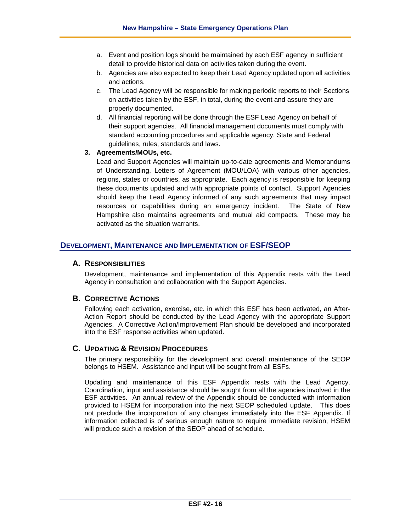- a. Event and position logs should be maintained by each ESF agency in sufficient detail to provide historical data on activities taken during the event.
- b. Agencies are also expected to keep their Lead Agency updated upon all activities and actions.
- c. The Lead Agency will be responsible for making periodic reports to their Sections on activities taken by the ESF, in total, during the event and assure they are properly documented.
- d. All financial reporting will be done through the ESF Lead Agency on behalf of their support agencies. All financial management documents must comply with standard accounting procedures and applicable agency, State and Federal guidelines, rules, standards and laws.

#### **3. Agreements/MOUs, etc.**

Lead and Support Agencies will maintain up-to-date agreements and Memorandums of Understanding, Letters of Agreement (MOU/LOA) with various other agencies, regions, states or countries, as appropriate. Each agency is responsible for keeping these documents updated and with appropriate points of contact. Support Agencies should keep the Lead Agency informed of any such agreements that may impact resources or capabilities during an emergency incident. The State of New Hampshire also maintains agreements and mutual aid compacts. These may be activated as the situation warrants.

# **DEVELOPMENT, MAINTENANCE AND IMPLEMENTATION OF ESF/SEOP**

# **A. RESPONSIBILITIES**

Development, maintenance and implementation of this Appendix rests with the Lead Agency in consultation and collaboration with the Support Agencies.

# **B. CORRECTIVE ACTIONS**

Following each activation, exercise, etc. in which this ESF has been activated, an After-Action Report should be conducted by the Lead Agency with the appropriate Support Agencies. A Corrective Action/Improvement Plan should be developed and incorporated into the ESF response activities when updated.

# **C. UPDATING & REVISION PROCEDURES**

The primary responsibility for the development and overall maintenance of the SEOP belongs to HSEM. Assistance and input will be sought from all ESFs.

Updating and maintenance of this ESF Appendix rests with the Lead Agency. Coordination, input and assistance should be sought from all the agencies involved in the ESF activities. An annual review of the Appendix should be conducted with information provided to HSEM for incorporation into the next SEOP scheduled update. This does not preclude the incorporation of any changes immediately into the ESF Appendix. If information collected is of serious enough nature to require immediate revision, HSEM will produce such a revision of the SEOP ahead of schedule.